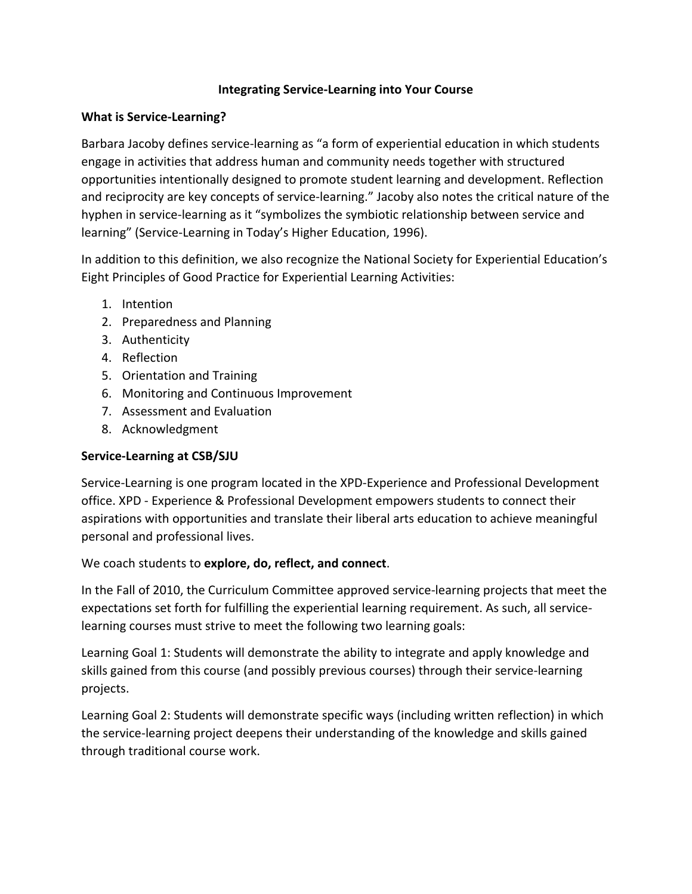## **Integrating Service-Learning into Your Course**

#### **What is Service-Learning?**

Barbara Jacoby defines service-learning as "a form of experiential education in which students engage in activities that address human and community needs together with structured opportunities intentionally designed to promote student learning and development. Reflection and reciprocity are key concepts of service-learning." Jacoby also notes the critical nature of the hyphen in service-learning as it "symbolizes the symbiotic relationship between service and learning" (Service-Learning in Today's Higher Education, 1996).

In addition to this definition, we also recognize the National Society for Experiential Education's Eight Principles of Good Practice for Experiential Learning Activities:

- 1. Intention
- 2. Preparedness and Planning
- 3. Authenticity
- 4. Reflection
- 5. Orientation and Training
- 6. Monitoring and Continuous Improvement
- 7. Assessment and Evaluation
- 8. Acknowledgment

# **Service-Learning at CSB/SJU**

Service-Learning is one program located in the XPD-Experience and Professional Development office. XPD - Experience & Professional Development empowers students to connect their aspirations with opportunities and translate their liberal arts education to achieve meaningful personal and professional lives.

# We coach students to **explore, do, reflect, and connect**.

In the Fall of 2010, the Curriculum Committee approved service-learning projects that meet the expectations set forth for fulfilling the experiential learning requirement. As such, all servicelearning courses must strive to meet the following two learning goals:

Learning Goal 1: Students will demonstrate the ability to integrate and apply knowledge and skills gained from this course (and possibly previous courses) through their service-learning projects.

Learning Goal 2: Students will demonstrate specific ways (including written reflection) in which the service-learning project deepens their understanding of the knowledge and skills gained through traditional course work.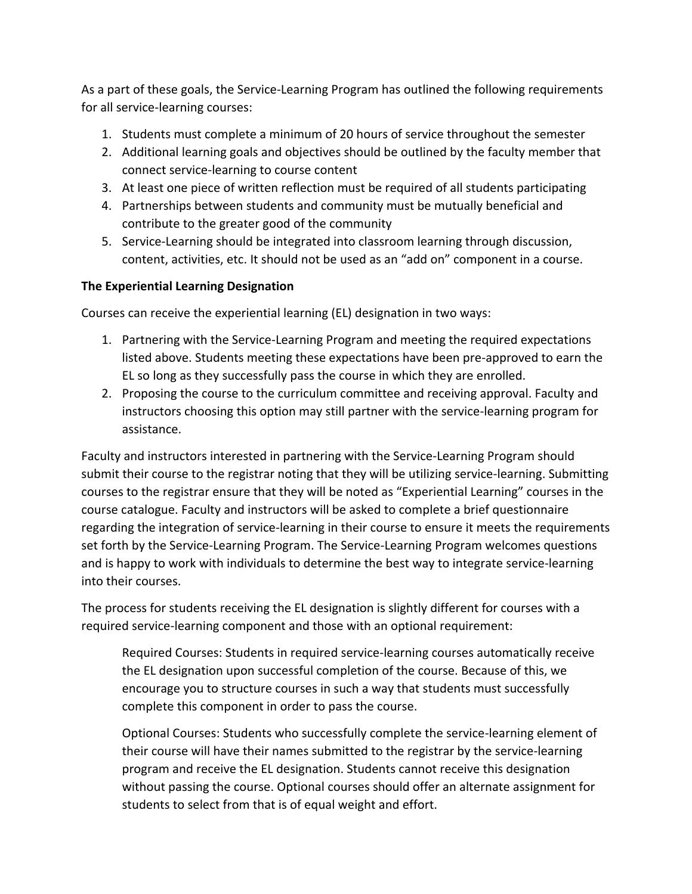As a part of these goals, the Service-Learning Program has outlined the following requirements for all service-learning courses:

- 1. Students must complete a minimum of 20 hours of service throughout the semester
- 2. Additional learning goals and objectives should be outlined by the faculty member that connect service-learning to course content
- 3. At least one piece of written reflection must be required of all students participating
- 4. Partnerships between students and community must be mutually beneficial and contribute to the greater good of the community
- 5. Service-Learning should be integrated into classroom learning through discussion, content, activities, etc. It should not be used as an "add on" component in a course.

# **The Experiential Learning Designation**

Courses can receive the experiential learning (EL) designation in two ways:

- 1. Partnering with the Service-Learning Program and meeting the required expectations listed above. Students meeting these expectations have been pre-approved to earn the EL so long as they successfully pass the course in which they are enrolled.
- 2. Proposing the course to the curriculum committee and receiving approval. Faculty and instructors choosing this option may still partner with the service-learning program for assistance.

Faculty and instructors interested in partnering with the Service-Learning Program should submit their course to the registrar noting that they will be utilizing service-learning. Submitting courses to the registrar ensure that they will be noted as "Experiential Learning" courses in the course catalogue. Faculty and instructors will be asked to complete a brief questionnaire regarding the integration of service-learning in their course to ensure it meets the requirements set forth by the Service-Learning Program. The Service-Learning Program welcomes questions and is happy to work with individuals to determine the best way to integrate service-learning into their courses.

The process for students receiving the EL designation is slightly different for courses with a required service-learning component and those with an optional requirement:

Required Courses: Students in required service-learning courses automatically receive the EL designation upon successful completion of the course. Because of this, we encourage you to structure courses in such a way that students must successfully complete this component in order to pass the course.

Optional Courses: Students who successfully complete the service-learning element of their course will have their names submitted to the registrar by the service-learning program and receive the EL designation. Students cannot receive this designation without passing the course. Optional courses should offer an alternate assignment for students to select from that is of equal weight and effort.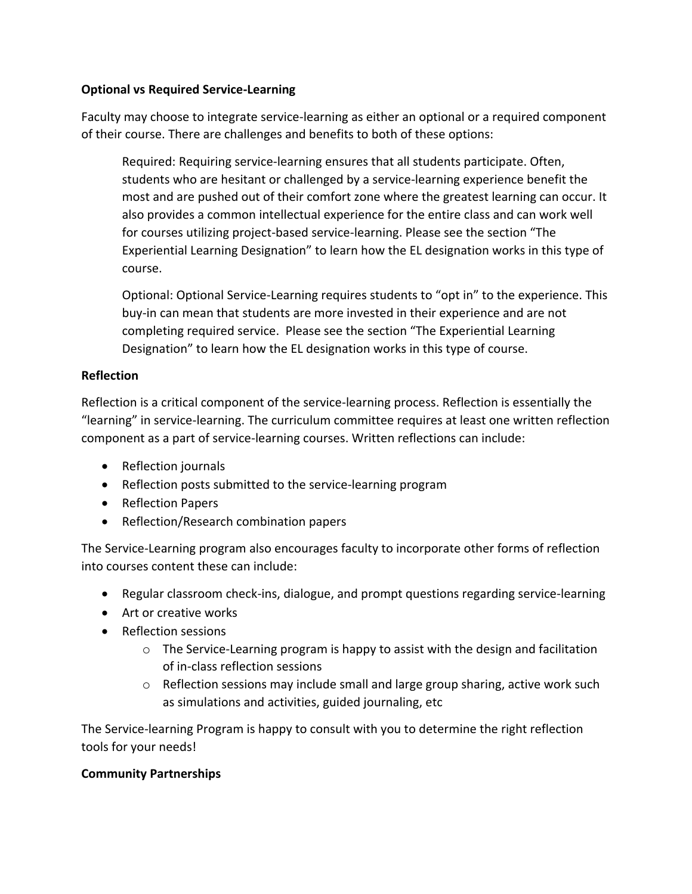## **Optional vs Required Service-Learning**

Faculty may choose to integrate service-learning as either an optional or a required component of their course. There are challenges and benefits to both of these options:

Required: Requiring service-learning ensures that all students participate. Often, students who are hesitant or challenged by a service-learning experience benefit the most and are pushed out of their comfort zone where the greatest learning can occur. It also provides a common intellectual experience for the entire class and can work well for courses utilizing project-based service-learning. Please see the section "The Experiential Learning Designation" to learn how the EL designation works in this type of course.

Optional: Optional Service-Learning requires students to "opt in" to the experience. This buy-in can mean that students are more invested in their experience and are not completing required service. Please see the section "The Experiential Learning Designation" to learn how the EL designation works in this type of course.

# **Reflection**

Reflection is a critical component of the service-learning process. Reflection is essentially the "learning" in service-learning. The curriculum committee requires at least one written reflection component as a part of service-learning courses. Written reflections can include:

- Reflection journals
- Reflection posts submitted to the service-learning program
- Reflection Papers
- Reflection/Research combination papers

The Service-Learning program also encourages faculty to incorporate other forms of reflection into courses content these can include:

- Regular classroom check-ins, dialogue, and prompt questions regarding service-learning
- Art or creative works
- Reflection sessions
	- $\circ$  The Service-Learning program is happy to assist with the design and facilitation of in-class reflection sessions
	- $\circ$  Reflection sessions may include small and large group sharing, active work such as simulations and activities, guided journaling, etc

The Service-learning Program is happy to consult with you to determine the right reflection tools for your needs!

# **Community Partnerships**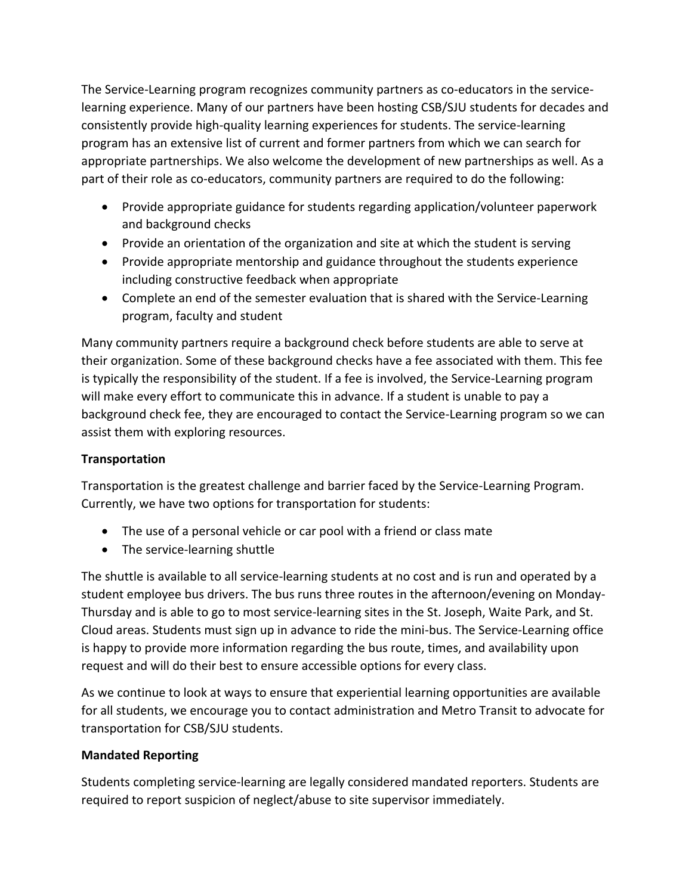The Service-Learning program recognizes community partners as co-educators in the servicelearning experience. Many of our partners have been hosting CSB/SJU students for decades and consistently provide high-quality learning experiences for students. The service-learning program has an extensive list of current and former partners from which we can search for appropriate partnerships. We also welcome the development of new partnerships as well. As a part of their role as co-educators, community partners are required to do the following:

- Provide appropriate guidance for students regarding application/volunteer paperwork and background checks
- Provide an orientation of the organization and site at which the student is serving
- Provide appropriate mentorship and guidance throughout the students experience including constructive feedback when appropriate
- Complete an end of the semester evaluation that is shared with the Service-Learning program, faculty and student

Many community partners require a background check before students are able to serve at their organization. Some of these background checks have a fee associated with them. This fee is typically the responsibility of the student. If a fee is involved, the Service-Learning program will make every effort to communicate this in advance. If a student is unable to pay a background check fee, they are encouraged to contact the Service-Learning program so we can assist them with exploring resources.

# **Transportation**

Transportation is the greatest challenge and barrier faced by the Service-Learning Program. Currently, we have two options for transportation for students:

- The use of a personal vehicle or car pool with a friend or class mate
- The service-learning shuttle

The shuttle is available to all service-learning students at no cost and is run and operated by a student employee bus drivers. The bus runs three routes in the afternoon/evening on Monday-Thursday and is able to go to most service-learning sites in the St. Joseph, Waite Park, and St. Cloud areas. Students must sign up in advance to ride the mini-bus. The Service-Learning office is happy to provide more information regarding the bus route, times, and availability upon request and will do their best to ensure accessible options for every class.

As we continue to look at ways to ensure that experiential learning opportunities are available for all students, we encourage you to contact administration and Metro Transit to advocate for transportation for CSB/SJU students.

# **Mandated Reporting**

Students completing service-learning are legally considered mandated reporters. Students are required to report suspicion of neglect/abuse to site supervisor immediately.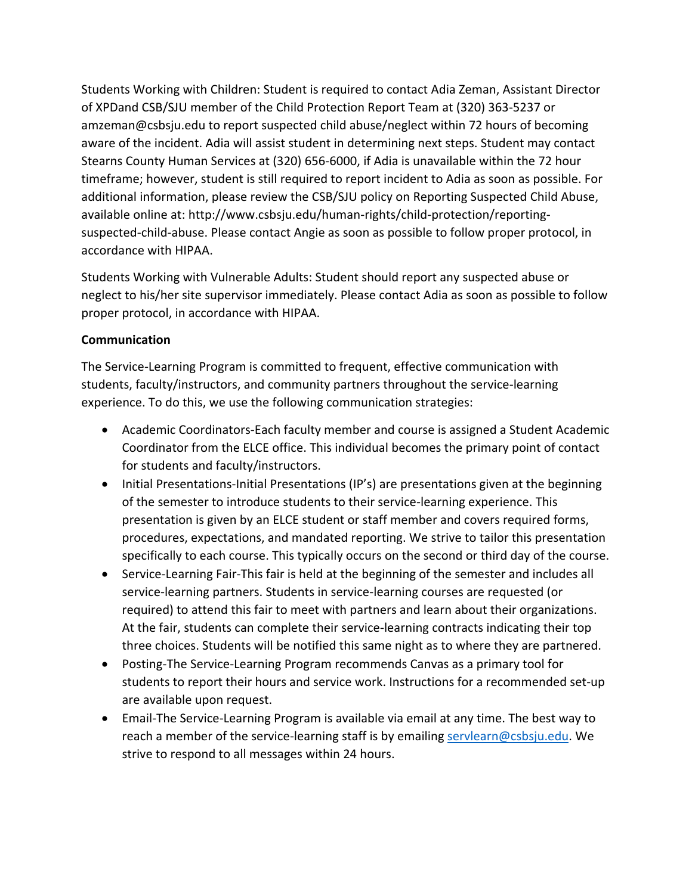Students Working with Children: Student is required to contact Adia Zeman, Assistant Director of XPDand CSB/SJU member of the Child Protection Report Team at (320) 363-5237 or amzeman@csbsju.edu to report suspected child abuse/neglect within 72 hours of becoming aware of the incident. Adia will assist student in determining next steps. Student may contact Stearns County Human Services at (320) 656-6000, if Adia is unavailable within the 72 hour timeframe; however, student is still required to report incident to Adia as soon as possible. For additional information, please review the CSB/SJU policy on Reporting Suspected Child Abuse, available online at: http://www.csbsju.edu/human-rights/child-protection/reportingsuspected-child-abuse. Please contact Angie as soon as possible to follow proper protocol, in accordance with HIPAA.

Students Working with Vulnerable Adults: Student should report any suspected abuse or neglect to his/her site supervisor immediately. Please contact Adia as soon as possible to follow proper protocol, in accordance with HIPAA.

### **Communication**

The Service-Learning Program is committed to frequent, effective communication with students, faculty/instructors, and community partners throughout the service-learning experience. To do this, we use the following communication strategies:

- Academic Coordinators-Each faculty member and course is assigned a Student Academic Coordinator from the ELCE office. This individual becomes the primary point of contact for students and faculty/instructors.
- Initial Presentations-Initial Presentations (IP's) are presentations given at the beginning of the semester to introduce students to their service-learning experience. This presentation is given by an ELCE student or staff member and covers required forms, procedures, expectations, and mandated reporting. We strive to tailor this presentation specifically to each course. This typically occurs on the second or third day of the course.
- Service-Learning Fair-This fair is held at the beginning of the semester and includes all service-learning partners. Students in service-learning courses are requested (or required) to attend this fair to meet with partners and learn about their organizations. At the fair, students can complete their service-learning contracts indicating their top three choices. Students will be notified this same night as to where they are partnered.
- Posting-The Service-Learning Program recommends Canvas as a primary tool for students to report their hours and service work. Instructions for a recommended set-up are available upon request.
- Email-The Service-Learning Program is available via email at any time. The best way to reach a member of the service-learning staff is by emailing [servlearn@csbsju.edu.](mailto:servlearn@csbsju.edu) We strive to respond to all messages within 24 hours.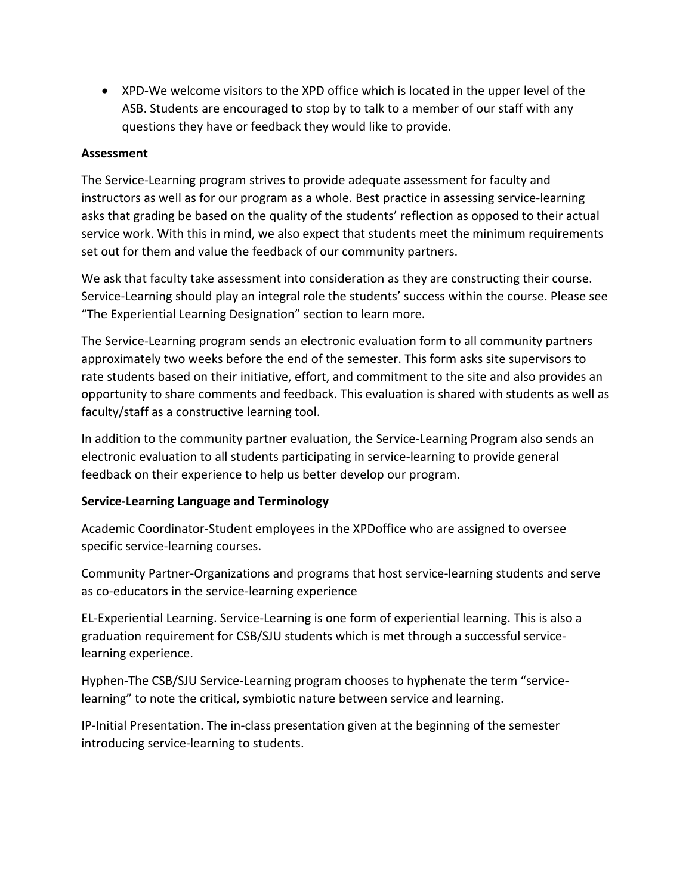• XPD-We welcome visitors to the XPD office which is located in the upper level of the ASB. Students are encouraged to stop by to talk to a member of our staff with any questions they have or feedback they would like to provide.

### **Assessment**

The Service-Learning program strives to provide adequate assessment for faculty and instructors as well as for our program as a whole. Best practice in assessing service-learning asks that grading be based on the quality of the students' reflection as opposed to their actual service work. With this in mind, we also expect that students meet the minimum requirements set out for them and value the feedback of our community partners.

We ask that faculty take assessment into consideration as they are constructing their course. Service-Learning should play an integral role the students' success within the course. Please see "The Experiential Learning Designation" section to learn more.

The Service-Learning program sends an electronic evaluation form to all community partners approximately two weeks before the end of the semester. This form asks site supervisors to rate students based on their initiative, effort, and commitment to the site and also provides an opportunity to share comments and feedback. This evaluation is shared with students as well as faculty/staff as a constructive learning tool.

In addition to the community partner evaluation, the Service-Learning Program also sends an electronic evaluation to all students participating in service-learning to provide general feedback on their experience to help us better develop our program.

# **Service-Learning Language and Terminology**

Academic Coordinator-Student employees in the XPDoffice who are assigned to oversee specific service-learning courses.

Community Partner-Organizations and programs that host service-learning students and serve as co-educators in the service-learning experience

EL-Experiential Learning. Service-Learning is one form of experiential learning. This is also a graduation requirement for CSB/SJU students which is met through a successful servicelearning experience.

Hyphen-The CSB/SJU Service-Learning program chooses to hyphenate the term "servicelearning" to note the critical, symbiotic nature between service and learning.

IP-Initial Presentation. The in-class presentation given at the beginning of the semester introducing service-learning to students.